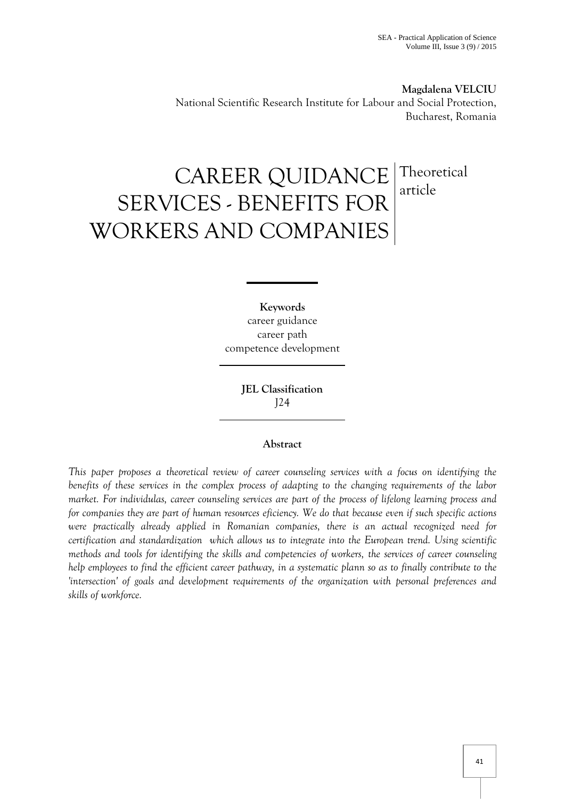**Magdalena VELCIU**  National Scientific Research Institute for Labour and Social Protection, Bucharest, Romania

# CAREER QUIDANCE SERVICES - BENEFITS FOR WORKERS AND COMPANIES Theoretical article

**Keywords** career guidance career path competence development

> **JEL Classification**  J24

# **Abstract**

*This paper proposes a theoretical review of career counseling services with a focus on identifying the benefits of these services in the complex process of adapting to the changing requirements of the labor market. For individulas, career counseling services are part of the process of lifelong learning process and for companies they are part of human resources eficiency. We do that because even if such specific actions were practically already applied in Romanian companies, there is an actual recognized need for certification and standardization which allows us to integrate into the European trend. Using scientific methods and tools for identifying the skills and competencies of workers, the services of career counseling help employees to find the efficient career pathway, in a systematic plann so as to finally contribute to the 'intersection' of goals and development requirements of the organization with personal preferences and skills of workforce.*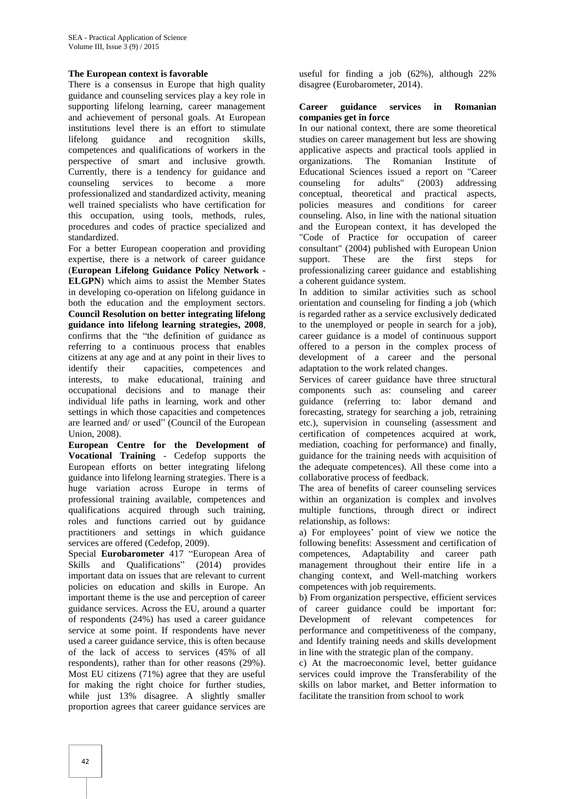# **The European context is favorable**

There is a consensus in Europe that high quality guidance and counseling services play a key role in supporting lifelong learning, career management and achievement of personal goals. At European institutions level there is an effort to stimulate lifelong guidance and recognition skills, competences and qualifications of workers in the perspective of smart and inclusive growth. Currently, there is a tendency for guidance and counseling services to become a more professionalized and standardized activity, meaning well trained specialists who have certification for this occupation, using tools, methods, rules, procedures and codes of practice specialized and standardized.

For a better European cooperation and providing expertise, there is a network of career guidance (**European Lifelong Guidance Policy Network - ELGPN**) which aims to assist the Member States in developing co-operation on lifelong guidance in both the education and the employment sectors. **Council Resolution on better integrating lifelong guidance into lifelong learning strategies, 2008**, confirms that the "the definition of guidance as referring to a continuous process that enables citizens at any age and at any point in their lives to identify their capacities, competences and interests, to make educational, training and occupational decisions and to manage their individual life paths in learning, work and other settings in which those capacities and competences are learned and/ or used" (Council of the European Union, 2008).

**European Centre for the Development of Vocational Training** - Cedefop supports the European efforts on better integrating lifelong guidance into lifelong learning strategies. There is a huge variation across Europe in terms of professional training available, competences and qualifications acquired through such training, roles and functions carried out by guidance practitioners and settings in which guidance services are offered (Cedefop, 2009).

Special **Eurobarometer** 417 "European Area of Skills and Qualifications" (2014) provides important data on issues that are relevant to current policies on education and skills in Europe. An important theme is the use and perception of career guidance services. Across the EU, around a quarter of respondents (24%) has used a career guidance service at some point. If respondents have never used a career guidance service, this is often because of the lack of access to services (45% of all respondents), rather than for other reasons (29%). Most EU citizens (71%) agree that they are useful for making the right choice for further studies, while just 13% disagree. A slightly smaller proportion agrees that career guidance services are

useful for finding a job (62%), although 22% disagree (Eurobarometer, 2014).

#### **Career guidance services in Romanian companies get in force**

In our national context, there are some theoretical studies on career management but less are showing applicative aspects and practical tools applied in organizations. The Romanian Institute of Educational Sciences issued a report on "Career counseling for adults" (2003) addressing conceptual, theoretical and practical aspects, policies measures and conditions for career counseling. Also, in line with the national situation and the European context, it has developed the "Code of Practice for occupation of career consultant" (2004) published with European Union support. These are the first steps for professionalizing career guidance and establishing a coherent guidance system.

In addition to similar activities such as school orientation and counseling for finding a job (which is regarded rather as a service exclusively dedicated to the unemployed or people in search for a job), career guidance is a model of continuous support offered to a person in the complex process of development of a career and the personal adaptation to the work related changes.

Services of career guidance have three structural components such as: counseling and career guidance (referring to: labor demand and forecasting, strategy for searching a job, retraining etc.), supervision in counseling (assessment and certification of competences acquired at work, mediation, coaching for performance) and finally, guidance for the training needs with acquisition of the adequate competences). All these come into a collaborative process of feedback.

The area of benefits of career counseling services within an organization is complex and involves multiple functions, through direct or indirect relationship, as follows:

a) For employees' point of view we notice the following benefits: Assessment and certification of competences, Adaptability and career path management throughout their entire life in a changing context, and Well-matching workers competences with job requirements.

b) From organization perspective, efficient services of career guidance could be important for: Development of relevant competences for performance and competitiveness of the company, and Identify training needs and skills development in line with the strategic plan of the company.

c) At the macroeconomic level, better guidance services could improve the Transferability of the skills on labor market, and Better information to facilitate the transition from school to work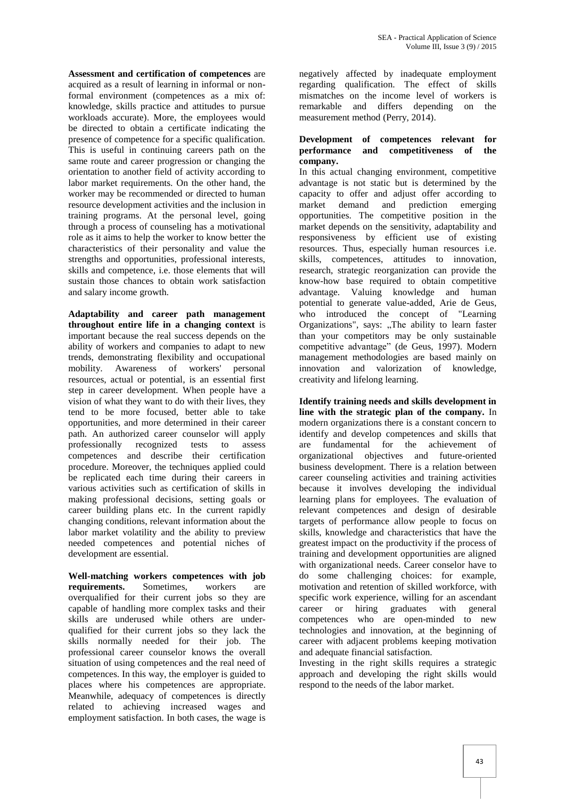**Assessment and certification of competences** are acquired as a result of learning in informal or nonformal environment (competences as a mix of: knowledge, skills practice and attitudes to pursue workloads accurate). More, the employees would be directed to obtain a certificate indicating the presence of competence for a specific qualification. This is useful in continuing careers path on the same route and career progression or changing the orientation to another field of activity according to labor market requirements. On the other hand, the worker may be recommended or directed to human resource development activities and the inclusion in training programs. At the personal level, going through a process of counseling has a motivational role as it aims to help the worker to know better the characteristics of their personality and value the strengths and opportunities, professional interests, skills and competence, i.e. those elements that will sustain those chances to obtain work satisfaction and salary income growth.

**Adaptability and career path management throughout entire life in a changing context** is important because the real success depends on the ability of workers and companies to adapt to new trends, demonstrating flexibility and occupational<br>mobility. Awareness of workers' personal mobility. Awareness of workers' resources, actual or potential, is an essential first step in career development. When people have a vision of what they want to do with their lives, they tend to be more focused, better able to take opportunities, and more determined in their career path. An authorized career counselor will apply professionally recognized tests to assess competences and describe their certification procedure. Moreover, the techniques applied could be replicated each time during their careers in various activities such as certification of skills in making professional decisions, setting goals or career building plans etc. In the current rapidly changing conditions, relevant information about the labor market volatility and the ability to preview needed competences and potential niches of development are essential.

**Well-matching workers competences with job requirements.** Sometimes, workers are overqualified for their current jobs so they are capable of handling more complex tasks and their skills are underused while others are underqualified for their current jobs so they lack the skills normally needed for their job. The professional career counselor knows the overall situation of using competences and the real need of competences. In this way, the employer is guided to places where his competences are appropriate. Meanwhile, adequacy of competences is directly related to achieving increased wages and employment satisfaction. In both cases, the wage is

negatively affected by inadequate employment regarding qualification. The effect of skills mismatches on the income level of workers is remarkable and differs depending on the measurement method (Perry, 2014).

## **Development of competences relevant for performance and competitiveness of the company.**

In this actual changing environment, competitive advantage is not static but is determined by the capacity to offer and adjust offer according to market demand and prediction emerging opportunities. The competitive position in the market depends on the sensitivity, adaptability and responsiveness by efficient use of existing resources. Thus, especially human resources i.e. skills, competences, attitudes to innovation, research, strategic reorganization can provide the know-how base required to obtain competitive advantage. Valuing knowledge and human potential to generate value-added, Arie de Geus, who introduced the concept of "Learning Organizations", says: "The ability to learn faster than your competitors may be only sustainable competitive advantage" (de Geus, 1997). Modern management methodologies are based mainly on innovation and valorization of knowledge, creativity and lifelong learning.

**Identify training needs and skills development in line with the strategic plan of the company.** In modern organizations there is a constant concern to identify and develop competences and skills that are fundamental for the achievement of organizational objectives and future-oriented business development. There is a relation between career counseling activities and training activities because it involves developing the individual learning plans for employees. The evaluation of relevant competences and design of desirable targets of performance allow people to focus on skills, knowledge and characteristics that have the greatest impact on the productivity if the process of training and development opportunities are aligned with organizational needs. Career conselor have to do some challenging choices: for example, motivation and retention of skilled workforce, with specific work experience, willing for an ascendant career or hiring graduates with general competences who are open-minded to new technologies and innovation, at the beginning of career with adjacent problems keeping motivation and adequate financial satisfaction.

Investing in the right skills requires a strategic approach and developing the right skills would respond to the needs of the labor market.